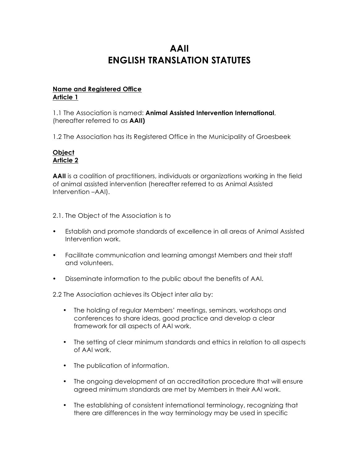# **AAII ENGLISH TRANSLATION STATUTES**

## **Name and Registered Office Article 1**

1.1 The Association is named: **Animal Assisted Intervention International**, (hereafter referred to as **AAII)**

1.2 The Association has its Registered Office in the Municipality of Groesbeek

#### **Object Article 2**

**AAII** is a coalition of practitioners, individuals or organizations working in the field of animal assisted intervention (hereafter referred to as Animal Assisted Intervention –AAI).

- 2.1. The Object of the Association is to
- Establish and promote standards of excellence in all areas of Animal Assisted Intervention work.
- Facilitate communication and learning amongst Members and their staff and volunteers.
- Disseminate information to the public about the benefits of AAI.

2.2 The Association achieves its Object inter *alia* by:

- The holding of regular Members' meetings, seminars, workshops and conferences to share ideas, good practice and develop a clear framework for all aspects of AAI work.
- The setting of clear minimum standards and ethics in relation to all aspects of AAI work.
- The publication of information.
- The ongoing development of an accreditation procedure that will ensure agreed minimum standards are met by Members in their AAI work.
- The establishing of consistent international terminology, recognizing that there are differences in the way terminology may be used in specific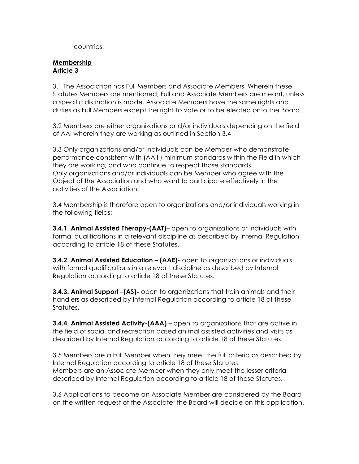countries.

#### **Membership Article 3**

3.1 The Association has Full Members and Associate Members. Wherein these Statutes Members are mentioned, Full and Associate Members are meant, unless a specific distinction is made. Associate Members have the same rights and duties as Full Members except the right to vote or to be elected onto the Board.

3.2 Members are either organizations and/or individuals depending on the field of AAI wherein they are working as outlined in Section 3.4

3.3 Only organizations and/or individuals can be Member who demonstrate performance consistent with (AAII ) minimum standards within the Field in which they are working, and who continue to respect those standards. Only organizations and/or individuals can be Member who agree with the Object of the Association and who want to participate effectively in the activities of the Association.

3.4 Membership is therefore open to organizations and/or individuals working in the following fields:

**3.4.1. Animal Assisted Therapy-(AAT)**– open to organizations or individuals with formal qualifications in a relevant discipline as described by Internal Regulation according to article 18 of these Statutes.

**3.4.2. Animal Assisted Education – (AAE)-** open to organizations or individuals with formal qualifications in a relevant discipline as described by Internal Regulation according to article 18 of these Statutes.

**3.4.3. Animal Support –(AS)-** open to organizations that train animals and their handlers as described by Internal Regulation according to article 18 of these Statutes.

**3.4.4. Animal Assisted Activity-(AAA)** – open to organizations that are active in the field of social and recreation based animal assisted activities and visits as described by Internal Regulation according to article 18 of these Statutes.

3.5 Members are a Full Member when they meet the full criteria as described by Internal Regulation according to article 18 of these Statutes. Members are an Associate Member when they only meet the lesser criteria described by Internal Regulation according to article 18 of these Statutes.

3.6 Applications to become an Associate Member are considered by the Board on the written request of the Associate; the Board will decide on this application.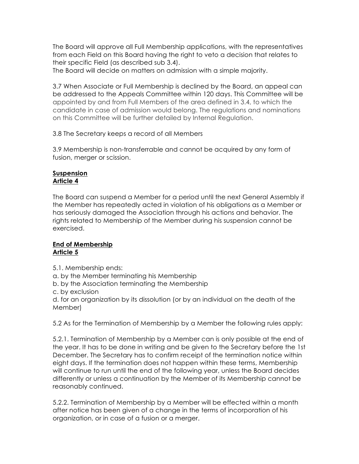The Board will approve all Full Membership applications, with the representatives from each Field on this Board having the right to veto a decision that relates to their specific Field (as described sub 3.4).

The Board will decide on matters on admission with a simple majority.

3.7 When Associate or Full Membership is declined by the Board, an appeal can be addressed to the Appeals Committee within 120 days. This Committee will be appointed by and from Full Members of the area defined in 3.4, to which the candidate in case of admission would belong. The regulations and nominations on this Committee will be further detailed by Internal Regulation.

## 3.8 The Secretary keeps a record of all Members

3.9 Membership is non-transferrable and cannot be acquired by any form of fusion, merger or scission.

#### **Suspension Article 4**

The Board can suspend a Member for a period until the next General Assembly if the Member has repeatedly acted in violation of his obligations as a Member or has seriously damaged the Association through his actions and behavior. The rights related to Membership of the Member during his suspension cannot be exercised.

#### **End of Membership Article 5**

- 5.1. Membership ends:
- a. by the Member terminating his Membership
- b. by the Association terminating the Membership
- c. by exclusion

d. for an organization by its dissolution (or by an individual on the death of the Member)

5.2 As for the Termination of Membership by a Member the following rules apply:

5.2.1. Termination of Membership by a Member can is only possible at the end of the year. It has to be done in writing and be given to the Secretary before the 1st December. The Secretary has to confirm receipt of the termination notice within eight days. If the termination does not happen within these terms, Membership will continue to run until the end of the following year, unless the Board decides differently or unless a continuation by the Member of its Membership cannot be reasonably continued.

5.2.2. Termination of Membership by a Member will be effected within a month after notice has been given of a change in the terms of incorporation of his organization, or in case of a fusion or a merger.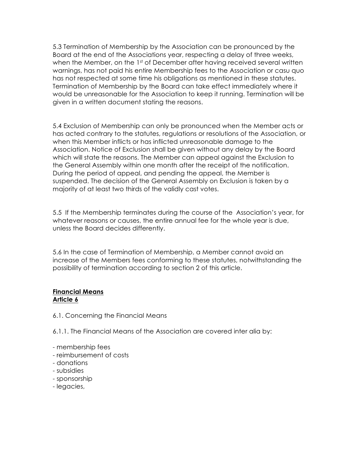5.3 Termination of Membership by the Association can be pronounced by the Board at the end of the Associations year, respecting a delay of three weeks, when the Member, on the 1st of December after having received several written warnings, has not paid his entire Membership fees to the Association or casu quo has not respected at some time his obligations as mentioned in these statutes. Termination of Membership by the Board can take effect immediately where it would be unreasonable for the Association to keep it running. Termination will be given in a written document stating the reasons.

5.4 Exclusion of Membership can only be pronounced when the Member acts or has acted contrary to the statutes, regulations or resolutions of the Association, or when this Member inflicts or has inflicted unreasonable damage to the Association. Notice of Exclusion shall be given without any delay by the Board which will state the reasons. The Member can appeal against the Exclusion to the General Assembly within one month after the receipt of the notification. During the period of appeal, and pending the appeal, the Member is suspended. The decision of the General Assembly on Exclusion is taken by a majority of at least two thirds of the validly cast votes.

5.5 If the Membership terminates during the course of the Association's year, for whatever reasons or causes, the entire annual fee for the whole year is due, unless the Board decides differently.

5.6 In the case of Termination of Membership, a Member cannot avoid an increase of the Members fees conforming to these statutes, notwithstanding the possibility of termination according to section 2 of this article.

#### **Financial Means Article 6**

6.1. Concerning the Financial Means

6.1.1. The Financial Means of the Association are covered inter alia by:

- membership fees
- reimbursement of costs
- donations
- subsidies
- sponsorship
- legacies,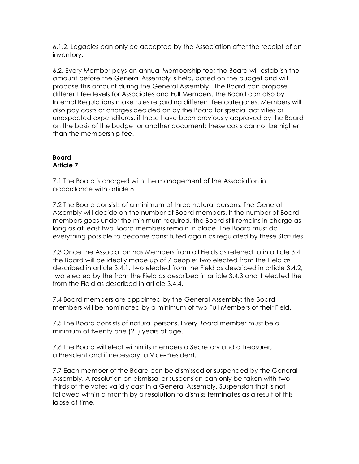6.1.2. Legacies can only be accepted by the Association after the receipt of an inventory.

6.2. Every Member pays an annual Membership fee; the Board will establish the amount before the General Assembly is held, based on the budget and will propose this amount during the General Assembly. The Board can propose different fee levels for Associates and Full Members. The Board can also by Internal Regulations make rules regarding different fee categories. Members will also pay costs or charges decided on by the Board for special activities or unexpected expenditures, if these have been previously approved by the Board on the basis of the budget or another document; these costs cannot be higher than the membership fee.

#### **Board Article 7**

7.1 The Board is charged with the management of the Association in accordance with article 8.

7.2 The Board consists of a minimum of three natural persons. The General Assembly will decide on the number of Board members. If the number of Board members goes under the minimum required, the Board still remains in charge as long as at least two Board members remain in place. The Board must do everything possible to become constituted again as regulated by these Statutes.

7.3 Once the Association has Members from all Fields as referred to in article 3.4, the Board will be ideally made up of 7 people: two elected from the Field as described in article 3.4.1, two elected from the Field as described in article 3.4.2, two elected by the from the Field as described in article 3.4.3 and 1 elected the from the Field as described in article 3.4.4.

7.4 Board members are appointed by the General Assembly; the Board members will be nominated by a minimum of two Full Members of their Field.

7.5 The Board consists of natural persons. Every Board member must be a minimum of twenty one (21) years of age.

7.6 The Board will elect within its members a Secretary and a Treasurer, a President and if necessary, a Vice-President.

7.7 Each member of the Board can be dismissed or suspended by the General Assembly. A resolution on dismissal or suspension can only be taken with two thirds of the votes validly cast in a General Assembly. Suspension that is not followed within a month by a resolution to dismiss terminates as a result of this lapse of time.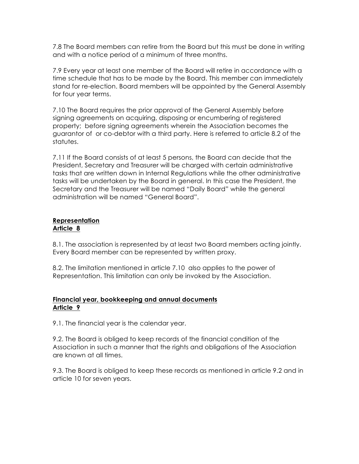7.8 The Board members can retire from the Board but this must be done in writing and with a notice period of a minimum of three months.

7.9 Every year at least one member of the Board will retire in accordance with a time schedule that has to be made by the Board. This member can immediately stand for re-election. Board members will be appointed by the General Assembly for four year terms.

7.10 The Board requires the prior approval of the General Assembly before signing agreements on acquiring, disposing or encumbering of registered property; before signing agreements wherein the Association becomes the guarantor of or co-debtor with a third party. Here is referred to article 8.2 of the statutes.

7.11 If the Board consists of at least 5 persons, the Board can decide that the President, Secretary and Treasurer will be charged with certain administrative tasks that are written down in Internal Regulations while the other administrative tasks will be undertaken by the Board in general. In this case the President, the Secretary and the Treasurer will be named "Daily Board" while the general administration will be named "General Board".

#### **Representation Article 8**

8.1. The association is represented by at least two Board members acting jointly. Every Board member can be represented by written proxy.

8.2. The limitation mentioned in article 7.10 also applies to the power of Representation. This limitation can only be invoked by the Association.

#### **Financial year, bookkeeping and annual documents Article 9**

9.1. The financial year is the calendar year.

9.2. The Board is obliged to keep records of the financial condition of the Association in such a manner that the rights and obligations of the Association are known at all times.

9.3. The Board is obliged to keep these records as mentioned in article 9.2 and in article 10 for seven years.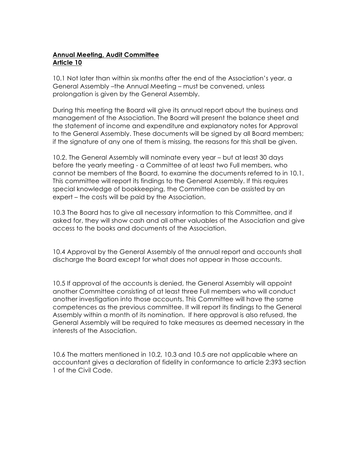# **Annual Meeting, Audit Committee Article 10**

10.1 Not later than within six months after the end of the Association's year, a General Assembly –the Annual Meeting – must be convened, unless prolongation is given by the General Assembly.

During this meeting the Board will give its annual report about the business and management of the Association. The Board will present the balance sheet and the statement of income and expenditure and explanatory notes for Approval to the General Assembly. These documents will be signed by all Board members; if the signature of any one of them is missing, the reasons for this shall be given.

10.2. The General Assembly will nominate every year – but at least 30 days before the yearly meeting - a Committee of at least two Full members, who cannot be members of the Board, to examine the documents referred to in 10.1. This committee will report its findings to the General Assembly. If this requires special knowledge of bookkeeping, the Committee can be assisted by an expert – the costs will be paid by the Association.

10.3 The Board has to give all necessary information to this Committee, and if asked for, they will show cash and all other valuables of the Association and give access to the books and documents of the Association.

10.4 Approval by the General Assembly of the annual report and accounts shall discharge the Board except for what does not appear in those accounts.

10.5 If approval of the accounts is denied, the General Assembly will appoint another Committee consisting of at least three Full members who will conduct another investigation into those accounts. This Committee will have the same competences as the previous committee. It will report its findings to the General Assembly within a month of its nomination. If here approval is also refused, the General Assembly will be required to take measures as deemed necessary in the interests of the Association.

10.6 The matters mentioned in 10.2, 10.3 and 10.5 are not applicable where an accountant gives a declaration of fidelity in conformance to article 2:393 section 1 of the Civil Code.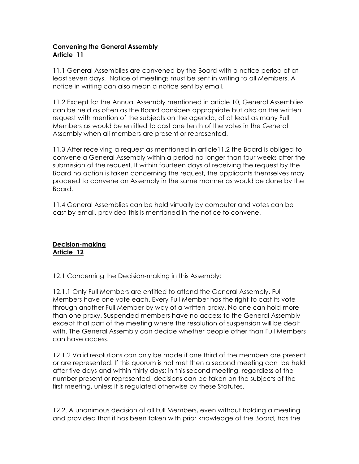# **Convening the General Assembly Article 11**

11.1 General Assemblies are convened by the Board with a notice period of at least seven days. Notice of meetings must be sent in writing to all Members. A notice in writing can also mean a notice sent by email.

11.2 Except for the Annual Assembly mentioned in article 10, General Assemblies can be held as often as the Board considers appropriate but also on the written request with mention of the subjects on the agenda, of at least as many Full Members as would be entitled to cast one tenth of the votes in the General Assembly when all members are present or represented.

11.3 After receiving a request as mentioned in article11.2 the Board is obliged to convene a General Assembly within a period no longer than four weeks after the submission of the request. If within fourteen days of receiving the request by the Board no action is taken concerning the request, the applicants themselves may proceed to convene an Assembly in the same manner as would be done by the Board.

11.4 General Assemblies can be held virtually by computer and votes can be cast by email, provided this is mentioned in the notice to convene.

## **Decision-making Article 12**

12.1 Concerning the Decision-making in this Assembly:

12.1.1 Only Full Members are entitled to attend the General Assembly. Full Members have one vote each. Every Full Member has the right to cast its vote through another Full Member by way of a written proxy. No one can hold more than one proxy. Suspended members have no access to the General Assembly except that part of the meeting where the resolution of suspension will be dealt with. The General Assembly can decide whether people other than Full Members can have access.

12.1.2 Valid resolutions can only be made if one third of the members are present or are represented. If this quorum is not met then a second meeting can be held after five days and within thirty days; in this second meeting, regardless of the number present or represented, decisions can be taken on the subjects of the first meeting, unless it is regulated otherwise by these Statutes.

12.2. A unanimous decision of all Full Members, even without holding a meeting and provided that it has been taken with prior knowledge of the Board, has the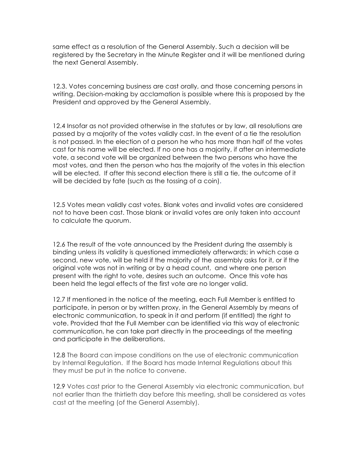same effect as a resolution of the General Assembly. Such a decision will be registered by the Secretary in the Minute Register and it will be mentioned during the next General Assembly.

12.3. Votes concerning business are cast orally, and those concerning persons in writing. Decision-making by acclamation is possible where this is proposed by the President and approved by the General Assembly.

12.4 Insofar as not provided otherwise in the statutes or by law, all resolutions are passed by a majority of the votes validly cast. In the event of a tie the resolution is not passed. In the election of a person he who has more than half of the votes cast for his name will be elected. If no one has a majority, if after an intermediate vote, a second vote will be organized between the two persons who have the most votes, and then the person who has the majority of the votes in this election will be elected. If after this second election there is still a tie, the outcome of it will be decided by fate (such as the tossing of a coin).

12.5 Votes mean validly cast votes. Blank votes and invalid votes are considered not to have been cast. Those blank or invalid votes are only taken into account to calculate the quorum.

12.6 The result of the vote announced by the President during the assembly is binding unless its validity is questioned immediately afterwards; in which case a second, new vote, will be held if the majority of the assembly asks for it, or if the original vote was not in writing or by a head count, and where one person present with the right to vote, desires such an outcome. Once this vote has been held the legal effects of the first vote are no longer valid.

12.7 If mentioned in the notice of the meeting, each Full Member is entitled to participate, in person or by written proxy, in the General Assembly by means of electronic communication, to speak in it and perform (if entitled) the right to vote. Provided that the Full Member can be identified via this way of electronic communication, he can take part directly in the proceedings of the meeting and participate in the deliberations.

12.8 The Board can impose conditions on the use of electronic communication by Internal Regulation. If the Board has made Internal Regulations about this they must be put in the notice to convene.

12.9 Votes cast prior to the General Assembly via electronic communication, but not earlier than the thirtieth day before this meeting, shall be considered as votes cast at the meeting (of the General Assembly).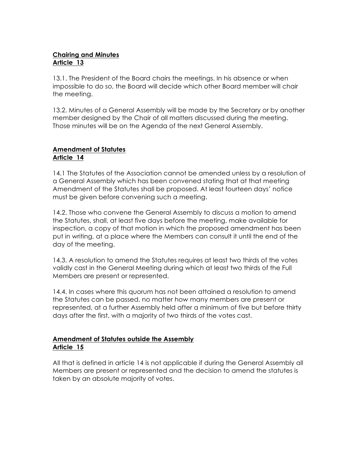# **Chairing and Minutes Article 13**

13.1. The President of the Board chairs the meetings. In his absence or when impossible to do so, the Board will decide which other Board member will chair the meeting.

13.2. Minutes of a General Assembly will be made by the Secretary or by another member designed by the Chair of all matters discussed during the meeting. Those minutes will be on the Agenda of the next General Assembly.

## **Amendment of Statutes Article 14**

14.1 The Statutes of the Association cannot be amended unless by a resolution of a General Assembly which has been convened stating that at that meeting Amendment of the Statutes shall be proposed. At least fourteen days' notice must be given before convening such a meeting.

14.2. Those who convene the General Assembly to discuss a motion to amend the Statutes, shall, at least five days before the meeting, make available for inspection, a copy of that motion in which the proposed amendment has been put in writing, at a place where the Members can consult it until the end of the day of the meeting.

14.3. A resolution to amend the Statutes requires at least two thirds of the votes validly cast in the General Meeting during which at least two thirds of the Full Members are present or represented.

14.4. In cases where this quorum has not been attained a resolution to amend the Statutes can be passed, no matter how many members are present or represented, at a further Assembly held after a minimum of five but before thirty days after the first, with a majority of two thirds of the votes cast.

# **Amendment of Statutes outside the Assembly Article 15**

All that is defined in article 14 is not applicable if during the General Assembly all Members are present or represented and the decision to amend the statutes is taken by an absolute majority of votes.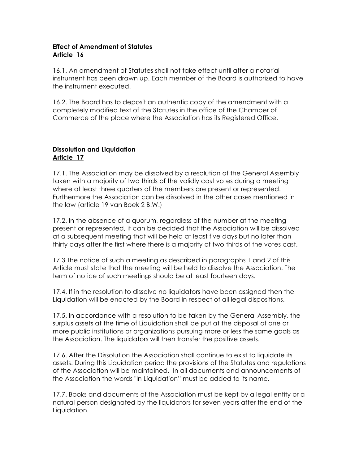# **Effect of Amendment of Statutes Article 16**

16.1. An amendment of Statutes shall not take effect until after a notarial instrument has been drawn up. Each member of the Board is authorized to have the instrument executed.

16.2. The Board has to deposit an authentic copy of the amendment with a completely modified text of the Statutes in the office of the Chamber of Commerce of the place where the Association has its Registered Office.

# **Dissolution and Liquidation Article 17**

17.1. The Association may be dissolved by a resolution of the General Assembly taken with a majority of two thirds of the validly cast votes during a meeting where at least three quarters of the members are present or represented. Furthermore the Association can be dissolved in the other cases mentioned in the law (article 19 van Boek 2 B.W.)

17.2. In the absence of a quorum, regardless of the number at the meeting present or represented, it can be decided that the Association will be dissolved at a subsequent meeting that will be held at least five days but no later than thirty days after the first where there is a majority of two thirds of the votes cast.

17.3 The notice of such a meeting as described in paragraphs 1 and 2 of this Article must state that the meeting will be held to dissolve the Association. The term of notice of such meetings should be at least fourteen days.

17.4. If in the resolution to dissolve no liquidators have been assigned then the Liquidation will be enacted by the Board in respect of all legal dispositions.

17.5. In accordance with a resolution to be taken by the General Assembly, the surplus assets at the time of Liquidation shall be put at the disposal of one or more public institutions or organizations pursuing more or less the same goals as the Association. The liquidators will then transfer the positive assets.

17.6. After the Dissolution the Association shall continue to exist to liquidate its assets. During this Liquidation period the provisions of the Statutes and regulations of the Association will be maintained. In all documents and announcements of the Association the words "In Liquidation" must be added to its name.

17.7. Books and documents of the Association must be kept by a legal entity or a natural person designated by the liquidators for seven years after the end of the Liquidation.